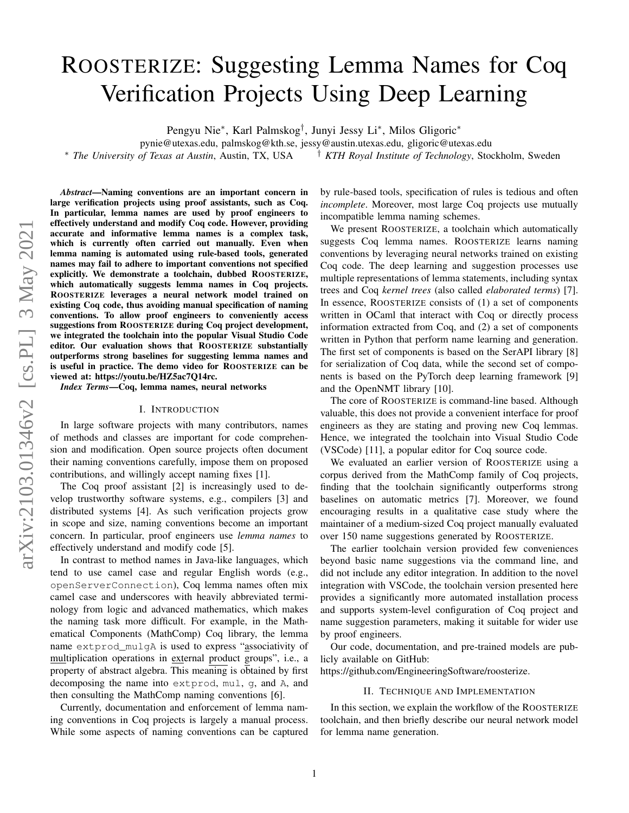# ROOSTERIZE: Suggesting Lemma Names for Coq Verification Projects Using Deep Learning

Pengyu Nie<sup>∗</sup> , Karl Palmskog† , Junyi Jessy Li<sup>∗</sup> , Milos Gligoric<sup>∗</sup>

pynie@utexas.edu, palmskog@kth.se, jessy@austin.utexas.edu, gligoric@utexas.edu <sup>∗</sup> *The University of Texas at Austin*, Austin, TX, USA † *KTH Royal Institute of Technology*, Stockholm, Sweden

*Abstract*—Naming conventions are an important concern in large verification projects using proof assistants, such as Coq. In particular, lemma names are used by proof engineers to effectively understand and modify Coq code. However, providing accurate and informative lemma names is a complex task, which is currently often carried out manually. Even when lemma naming is automated using rule-based tools, generated names may fail to adhere to important conventions not specified explicitly. We demonstrate a toolchain, dubbed ROOSTERIZE, which automatically suggests lemma names in Coq projects. ROOSTERIZE leverages a neural network model trained on existing Coq code, thus avoiding manual specification of naming conventions. To allow proof engineers to conveniently access suggestions from ROOSTERIZE during Coq project development, we integrated the toolchain into the popular Visual Studio Code editor. Our evaluation shows that ROOSTERIZE substantially outperforms strong baselines for suggesting lemma names and is useful in practice. The demo video for ROOSTERIZE can be viewed at: [https://youtu.be/HZ5ac7Q14rc.](https://youtu.be/HZ5ac7Q14rc)

*Index Terms*—Coq, lemma names, neural networks

## I. INTRODUCTION

In large software projects with many contributors, names of methods and classes are important for code comprehension and modification. Open source projects often document their naming conventions carefully, impose them on proposed contributions, and willingly accept naming fixes [\[1\]](#page-3-0).

The Coq proof assistant [\[2\]](#page-3-1) is increasingly used to develop trustworthy software systems, e.g., compilers [\[3\]](#page-3-2) and distributed systems [\[4\]](#page-3-3). As such verification projects grow in scope and size, naming conventions become an important concern. In particular, proof engineers use *lemma names* to effectively understand and modify code [\[5\]](#page-3-4).

In contrast to method names in Java-like languages, which tend to use camel case and regular English words (e.g., openServerConnection), Coq lemma names often mix camel case and underscores with heavily abbreviated terminology from logic and advanced mathematics, which makes the naming task more difficult. For example, in the Mathematical Components (MathComp) Coq library, the lemma name extprod\_mulgA is used to express "associativity of multiplication operations in external product groups", i.e., a property of abstract algebra. This meaning is obtained by first decomposing the name into extprod, mul, g, and A, and then consulting the MathComp naming conventions [\[6\]](#page-3-5).

Currently, documentation and enforcement of lemma naming conventions in Coq projects is largely a manual process. While some aspects of naming conventions can be captured by rule-based tools, specification of rules is tedious and often *incomplete*. Moreover, most large Coq projects use mutually incompatible lemma naming schemes.

We present ROOSTERIZE, a toolchain which automatically suggests Coq lemma names. ROOSTERIZE learns naming conventions by leveraging neural networks trained on existing Coq code. The deep learning and suggestion processes use multiple representations of lemma statements, including syntax trees and Coq *kernel trees* (also called *elaborated terms*) [\[7\]](#page-3-6). In essence, ROOSTERIZE consists of (1) a set of components written in OCaml that interact with Coq or directly process information extracted from Coq, and (2) a set of components written in Python that perform name learning and generation. The first set of components is based on the SerAPI library [\[8\]](#page-3-7) for serialization of Coq data, while the second set of components is based on the PyTorch deep learning framework [\[9\]](#page-3-8) and the OpenNMT library [\[10\]](#page-3-9).

The core of ROOSTERIZE is command-line based. Although valuable, this does not provide a convenient interface for proof engineers as they are stating and proving new Coq lemmas. Hence, we integrated the toolchain into Visual Studio Code (VSCode) [\[11\]](#page-3-10), a popular editor for Coq source code.

We evaluated an earlier version of ROOSTERIZE using a corpus derived from the MathComp family of Coq projects, finding that the toolchain significantly outperforms strong baselines on automatic metrics [\[7\]](#page-3-6). Moreover, we found encouraging results in a qualitative case study where the maintainer of a medium-sized Coq project manually evaluated over 150 name suggestions generated by ROOSTERIZE.

The earlier toolchain version provided few conveniences beyond basic name suggestions via the command line, and did not include any editor integration. In addition to the novel integration with VSCode, the toolchain version presented here provides a significantly more automated installation process and supports system-level configuration of Coq project and name suggestion parameters, making it suitable for wider use by proof engineers.

Our code, documentation, and pre-trained models are publicly available on GitHub:

[https://github.com/EngineeringSoftware/roosterize.](https://github.com/EngineeringSoftware/roosterize)

# II. TECHNIQUE AND IMPLEMENTATION

In this section, we explain the workflow of the ROOSTERIZE toolchain, and then briefly describe our neural network model for lemma name generation.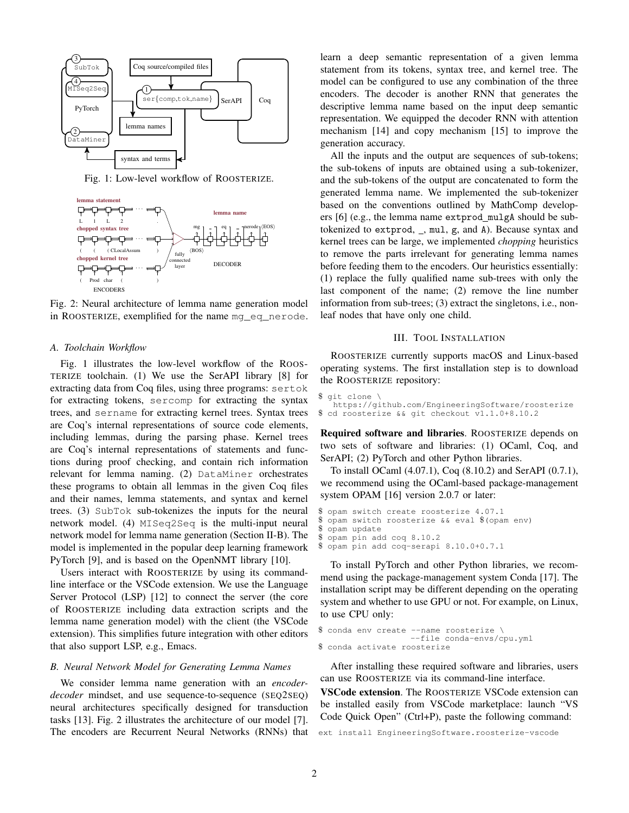<span id="page-1-0"></span>

Fig. 1: Low-level workflow of ROOSTERIZE.

<span id="page-1-2"></span>

Fig. 2: Neural architecture of lemma name generation model in ROOSTERIZE, exemplified for the name mg\_eq\_nerode.

#### *A. Toolchain Workflow*

Fig. [1](#page-1-0) illustrates the low-level workflow of the ROOS-TERIZE toolchain. (1) We use the SerAPI library [\[8\]](#page-3-7) for extracting data from Coq files, using three programs: sertok for extracting tokens, sercomp for extracting the syntax trees, and sername for extracting kernel trees. Syntax trees are Coq's internal representations of source code elements, including lemmas, during the parsing phase. Kernel trees are Coq's internal representations of statements and functions during proof checking, and contain rich information relevant for lemma naming. (2) DataMiner orchestrates these programs to obtain all lemmas in the given Coq files and their names, lemma statements, and syntax and kernel trees. (3) SubTok sub-tokenizes the inputs for the neural network model. (4) MISeq2Seq is the multi-input neural network model for lemma name generation (Section [II-B\)](#page-1-1). The model is implemented in the popular deep learning framework PyTorch [\[9\]](#page-3-8), and is based on the OpenNMT library [\[10\]](#page-3-9).

Users interact with ROOSTERIZE by using its commandline interface or the VSCode extension. We use the Language Server Protocol (LSP) [\[12\]](#page-3-11) to connect the server (the core of ROOSTERIZE including data extraction scripts and the lemma name generation model) with the client (the VSCode extension). This simplifies future integration with other editors that also support LSP, e.g., Emacs.

# <span id="page-1-1"></span>*B. Neural Network Model for Generating Lemma Names*

We consider lemma name generation with an *encoderdecoder* mindset, and use sequence-to-sequence (SEQ2SEQ) neural architectures specifically designed for transduction tasks [\[13\]](#page-3-12). Fig. [2](#page-1-2) illustrates the architecture of our model [\[7\]](#page-3-6). The encoders are Recurrent Neural Networks (RNNs) that learn a deep semantic representation of a given lemma statement from its tokens, syntax tree, and kernel tree. The model can be configured to use any combination of the three encoders. The decoder is another RNN that generates the descriptive lemma name based on the input deep semantic representation. We equipped the decoder RNN with attention mechanism [\[14\]](#page-3-13) and copy mechanism [\[15\]](#page-3-14) to improve the generation accuracy.

All the inputs and the output are sequences of sub-tokens; the sub-tokens of inputs are obtained using a sub-tokenizer, and the sub-tokens of the output are concatenated to form the generated lemma name. We implemented the sub-tokenizer based on the conventions outlined by MathComp developers [\[6\]](#page-3-5) (e.g., the lemma name extprod mulgA should be subtokenized to extprod,  $\Box$ , mul, g, and A). Because syntax and kernel trees can be large, we implemented *chopping* heuristics to remove the parts irrelevant for generating lemma names before feeding them to the encoders. Our heuristics essentially: (1) replace the fully qualified name sub-trees with only the last component of the name; (2) remove the line number information from sub-trees; (3) extract the singletons, i.e., nonleaf nodes that have only one child.

## III. TOOL INSTALLATION

ROOSTERIZE currently supports macOS and Linux-based operating systems. The first installation step is to download the ROOSTERIZE repository:

```
$ git clone \
   https://github.com/EngineeringSoftware/roosterize
$ cd roosterize && git checkout v1.1.0+8.10.2
```
Required software and libraries. ROOSTERIZE depends on two sets of software and libraries: (1) OCaml, Coq, and SerAPI; (2) PyTorch and other Python libraries.

To install OCaml (4.07.1), Coq (8.10.2) and SerAPI (0.7.1), we recommend using the OCaml-based package-management system OPAM [\[16\]](#page-3-15) version 2.0.7 or later:

```
$ opam switch create roosterize 4.07.1
$ opam switch roosterize && eval $(opam env)
$ opam update
 opam pin add coq 8.10.2
$ opam pin add coq-serapi 8.10.0+0.7.1
```
To install PyTorch and other Python libraries, we recommend using the package-management system Conda [\[17\]](#page-3-16). The installation script may be different depending on the operating system and whether to use GPU or not. For example, on Linux, to use CPU only:

```
$ conda env create --name roosterize \
                   --file conda-envs/cpu.yml
$ conda activate roosterize
```
After installing these required software and libraries, users can use ROOSTERIZE via its command-line interface.

VSCode extension. The ROOSTERIZE VSCode extension can be installed easily from VSCode marketplace: launch "VS Code Quick Open" (Ctrl+P), paste the following command:

ext install EngineeringSoftware.roosterize-vscode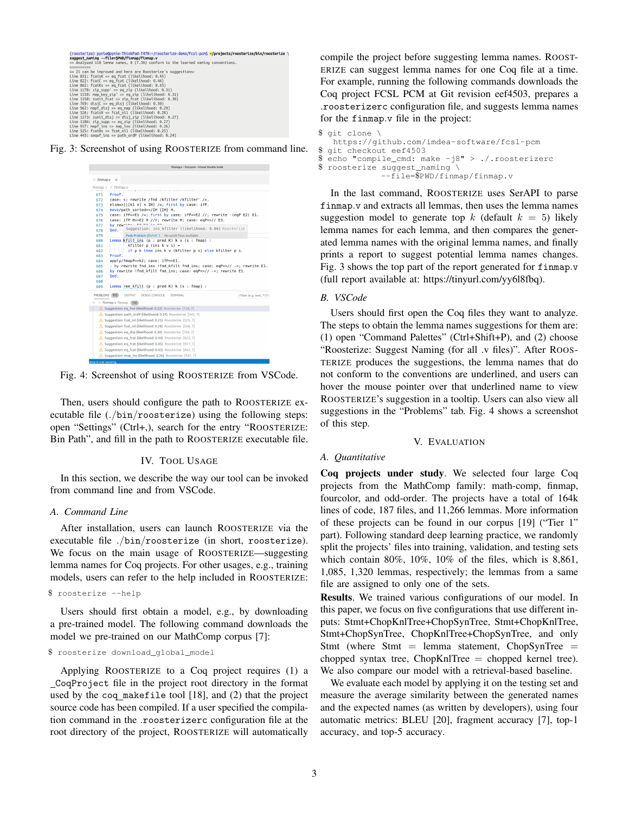```
(roosterize) pynie@pynie-ThinkPad-T470:~/roosterize-demo/fcsl-pcm$ <mark>=/projects/ro</mark><br>suggest_naming --file=SPMD/finmap/finmap.v<br>== Analyzed 110 lemma names, 8 (7.3%) conform to the learned naming conventions.
                                                     iie-ThinkPad-T470:-/roosterize-demo/fcsl-pcm$ <mark>~/projects/roosterize/bin/roosterize</mark> \
\equiv Analyzed 130 leven amen's, s' (...,30) contorn to the teamed<br>
\equiv Analyzed 130 leven amen's, s' (...30) contorn to the second the second the second the second state (i.e. it is the second that the second the sec
```
<span id="page-2-1"></span>Fig. 3: Screenshot of using ROOSTERIZE from command line.



Fig. 4: Screenshot of using ROOSTERIZE from VSCode.

Then, users should configure the path to ROOSTERIZE executable file (./bin/roosterize) using the following steps: open "Settings" (Ctrl+,), search for the entry "ROOSTERIZE: Bin Path", and fill in the path to ROOSTERIZE executable file.

#### IV. TOOL USAGE

In this section, we describe the way our tool can be invoked from command line and from VSCode.

#### *A. Command Line*

After installation, users can launch ROOSTERIZE via the executable file ./bin/roosterize (in short, roosterize). We focus on the main usage of ROOSTERIZE—suggesting lemma names for Coq projects. For other usages, e.g., training models, users can refer to the help included in ROOSTERIZE:

\$ roosterize --help

Users should first obtain a model, e.g., by downloading a pre-trained model. The following command downloads the model we pre-trained on our MathComp corpus [\[7\]](#page-3-6):

#### \$ roosterize download\_global\_model

Applying ROOSTERIZE to a Coq project requires (1) a CoqProject file in the project root directory in the format used by the coq makefile tool [\[18\]](#page-3-17), and (2) that the project source code has been compiled. If a user specified the compilation command in the .roosterizerc configuration file at the root directory of the project, ROOSTERIZE will automatically

compile the project before suggesting lemma names. ROOST-ERIZE can suggest lemma names for one Coq file at a time. For example, running the following commands downloads the Coq project FCSL PCM at Git revision eef4503, prepares a .roosterizerc configuration file, and suggests lemma names for the finmap.v file in the project:

```
$ git clone $https://github.com/imdea-software/fcsl-pcm
$ git checkout eef4503
$ echo "compile_cmd: make -j8" > ./.roosterizerc<br>$ roosterize suggest naming
 roosterize suggest_naming \
               --file=$PWD/finmap/finmap.v
```
In the last command, ROOSTERIZE uses SerAPI to parse finmap.v and extracts all lemmas, then uses the lemma names suggestion model to generate top k (default  $k = 5$ ) likely lemma names for each lemma, and then compares the generated lemma names with the original lemma names, and finally prints a report to suggest potential lemma names changes. Fig. [3](#page-2-0) shows the top part of the report generated for finmap.v (full report available at: [https://tinyurl.com/yy6l8fbq\)](https://tinyurl.com/yy6l8fbq).

# *B. VSCode*

Users should first open the Coq files they want to analyze. The steps to obtain the lemma names suggestions for them are: (1) open "Command Palettes" (Ctrl+Shift+P), and (2) choose "Roosterize: Suggest Naming (for all .v files)". After ROOS-TERIZE produces the suggestions, the lemma names that do not conform to the conventions are underlined, and users can hover the mouse pointer over that underlined name to view ROOSTERIZE's suggestion in a tooltip. Users can also view all suggestions in the "Problems" tab. Fig. [4](#page-2-1) shows a screenshot of this step.

## V. EVALUATION

## *A. Quantitative*

Coq projects under study. We selected four large Coq projects from the MathComp family: math-comp, finmap, fourcolor, and odd-order. The projects have a total of 164k lines of code, 187 files, and 11,266 lemmas. More information of these projects can be found in our corpus [\[19\]](#page-3-18) ("Tier 1" part). Following standard deep learning practice, we randomly split the projects' files into training, validation, and testing sets which contain 80%, 10%, 10% of the files, which is 8,861, 1,085, 1,320 lemmas, respectively; the lemmas from a same file are assigned to only one of the sets.

Results. We trained various configurations of our model. In this paper, we focus on five configurations that use different inputs: Stmt+ChopKnlTree+ChopSynTree, Stmt+ChopKnlTree, Stmt+ChopSynTree, ChopKnlTree+ChopSynTree, and only Stmt (where Stmt  $=$  lemma statement, ChopSynTree  $=$ chopped syntax tree,  $ChopKn$ Tree = chopped kernel tree). We also compare our model with a retrieval-based baseline.

We evaluate each model by applying it on the testing set and measure the average similarity between the generated names and the expected names (as written by developers), using four automatic metrics: BLEU [\[20\]](#page-3-19), fragment accuracy [\[7\]](#page-3-6), top-1 accuracy, and top-5 accuracy.